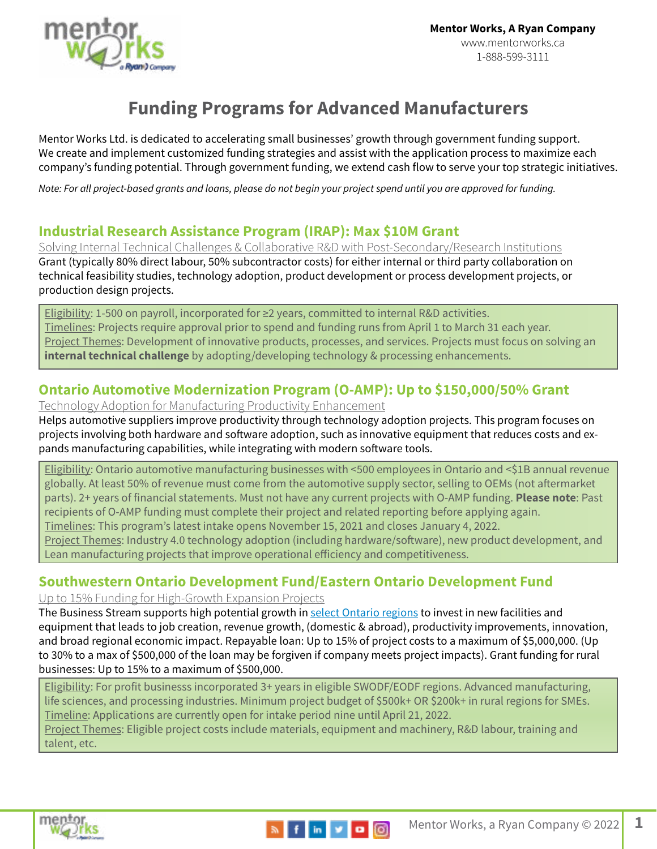

# **Funding Programs for Advanced Manufacturers**

Mentor Works Ltd. is dedicated to accelerating small businesses' growth through government funding support. We create and implement customized funding strategies and assist with the application process to maximize each company's funding potential. Through government funding, we extend cash flow to serve your top strategic initiatives.

*Note: For all project-based grants and loans, please do not begin your project spend until you are approved for funding.*

### **[Industrial Research Assistance Program \(IRAP\): Max \\$10M Grant](http://www.mentorworks.ca/tag/irap/)**

Solving Internal Technical Challenges & Collaborative R&D with Post-Secondary/Research Institutions Grant (typically 80% direct labour, 50% subcontractor costs) for either internal or third party collaboration on technical feasibility studies, technology adoption, product development or process development projects, or production design projects.

Eligibility: 1-500 on payroll, incorporated for ≥2 years, committed to internal R&D activities. Timelines: Projects require approval prior to spend and funding runs from April 1 to March 31 each year. Project Themes: Development of innovative products, processes, and services. Projects must focus on solving an **internal technical challenge** by adopting/developing technology & processing enhancements.

## **[Ontario Automotive Modernization Program \(O-AMP\): Up to \\$150,000/50% Grant](https://www.mentorworks.ca/what-we-offer/government-funding/capital-investment/ontario-automotive-modernization-program/)**

Technology Adoption for Manufacturing Productivity Enhancement

Helps automotive suppliers improve productivity through technology adoption projects. This program focuses on projects involving both hardware and software adoption, such as innovative equipment that reduces costs and expands manufacturing capabilities, while integrating with modern software tools.

Eligibility: Ontario automotive manufacturing businesses with <500 employees in Ontario and <\$1B annual revenue globally. At least 50% of revenue must come from the automotive supply sector, selling to OEMs (not aftermarket parts). 2+ years of financial statements. Must not have any current projects with O-AMP funding. **Please note**: Past recipients of O-AMP funding must complete their project and related reporting before applying again. Timelines: This program's latest intake opens November 15, 2021 and closes January 4, 2022.

Project Themes: Industry 4.0 technology adoption (including hardware/software), new product development, and Lean manufacturing projects that improve operational efficiency and competitiveness.

## **[Southwestern Ontario Development Fund](https://www.mentorworks.ca/government-funding/business-expansion/swodf/)[/Eastern Ontario Development Fund](https://www.mentorworks.ca/what-we-offer/government-funding/business-expansion/eodf/)**

Up to 15% Funding for High-Growth Expansion Projects

The Business Stream supports high potential growth in select Ontario regions to invest in new facilities and equipment that leads to job creation, revenue growth, (domestic & abroad), productivity improvements, innovation, and broad regional economic impact. Repayable loan: Up to 15% of project costs to a maximum of \$5,000,000. (Up to 30% to a max of \$500,000 of the loan may be forgiven if company meets project impacts). Grant funding for rural businesses: Up to 15% to a maximum of \$500,000.

Eligibility: For profit businesss incorporated 3+ years in eligible SWODF/EODF regions. Advanced manufacturing, life sciences, and processing industries. Minimum project budget of \$500k+ OR \$200k+ in rural regions for SMEs. Timeline: Applications are currently open for intake period nine until April 21, 2022.

Project Themes: Eligible project costs include materials, equipment and machinery, R&D labour, training and talent, etc.

**N** f in y a O

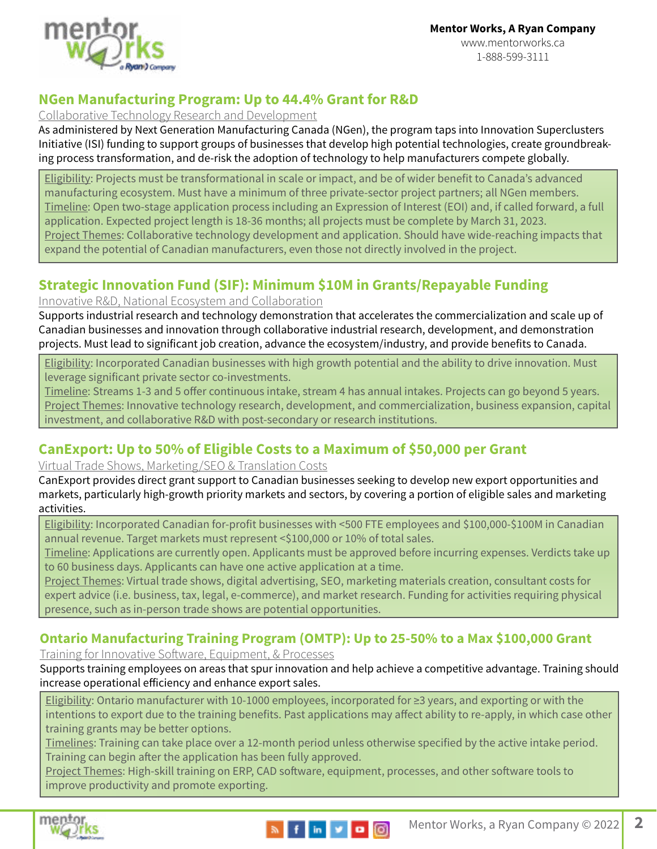

### **[NGen Manufacturing Program: Up to 44.4%](https://www.mentorworks.ca/what-we-offer/government-funding/research-development/ngen-manufacturing-program/) Grant for R&D**

#### Collaborative Technology Research and Development

As administered by Next Generation Manufacturing Canada (NGen), the program taps into Innovation Superclusters Initiative (ISI) funding to support groups of businesses that develop high potential technologies, create groundbreaking process transformation, and de-risk the adoption of technology to help manufacturers compete globally.

Eligibility: Projects must be transformational in scale or impact, and be of wider benefit to Canada's advanced manufacturing ecosystem. Must have a minimum of three private-sector project partners; all NGen members. Timeline: Open two-stage application process including an Expression of Interest (EOI) and, if called forward, a full application. Expected project length is 18-36 months; all projects must be complete by March 31, 2023. Project Themes: Collaborative technology development and application. Should have wide-reaching impacts that expand the potential of Canadian manufacturers, even those not directly involved in the project.

### **[Strategic Innovation Fund \(SIF\): Minimum \\$10M in Grants/Repayable Funding](https://www.mentorworks.ca/government-funding/capital-investment/strategic-innovation-fund/https://www.mentorworks.ca/government-funding/capital-investment/strategic-innovation-fund/)**

#### Innovative R&D, National Ecosystem and Collaboration

Supports industrial research and technology demonstration that accelerates the commercialization and scale up of Canadian businesses and innovation through collaborative industrial research, development, and demonstration projects. Must lead to significant job creation, advance the ecosystem/industry, and provide benefits to Canada.

Eligibility: Incorporated Canadian businesses with high growth potential and the ability to drive innovation. Must leverage significant private sector co-investments.

Timeline: Streams 1-3 and 5 offer continuous intake, stream 4 has annual intakes. Projects can go beyond 5 years. Project Themes: Innovative technology research, development, and commercialization, business expansion, capital investment, and collaborative R&D with post-secondary or research institutions.

## **[CanExport:](http://www.mentorworks.ca/what-we-offer/government-funding/business-expansion/canexport/) Up to 50% of Eligible Costs to a Maximum of \$50,000 per Grant**

#### Virtual Trade Shows, Marketing/SEO & Translation Costs

CanExport provides direct grant support to Canadian businesses seeking to develop new export opportunities and markets, particularly high-growth priority markets and sectors, by covering a portion of eligible sales and marketing activities.

Eligibility: Incorporated Canadian for-profit businesses with <500 FTE employees and \$100,000-\$100M in Canadian annual revenue. Target markets must represent <\$100,000 or 10% of total sales.

Timeline: Applications are currently open. Applicants must be approved before incurring expenses. Verdicts take up to 60 business days. Applicants can have one active application at a time.

Project Themes: Virtual trade shows, digital advertising, SEO, marketing materials creation, consultant costs for expert advice (i.e. business, tax, legal, e-commerce), and market research. Funding for activities requiring physical presence, such as in-person trade shows are potential opportunities.

### **Ontario Manufacturing Training Program (OMTP)[: Up to 25-50% to a Max \\$100,000 Grant](https://www.mentorworks.ca/government-funding/human-resources-and-training/ontario-manufacturing-training-program/https://www.mentorworks.ca/government-funding/human-resources-and-training/ontario-manufacturing-training-program/)**

Training for Innovative Software, Equipment, & Processes

Supports training employees on areas that spur innovation and help achieve a competitive advantage. Training should increase operational efficiency and enhance export sales.

Eligibility: Ontario manufacturer with 10-1000 employees, incorporated for ≥3 years, and exporting or with the intentions to export due to the training benefits. Past applications may affect ability to re-apply, in which case other training grants may be better options.

Timelines: Training can take place over a 12-month period unless otherwise specified by the active intake period. Training can begin after the application has been fully approved.

Project Themes: High-skill training on ERP, CAD software, equipment, processes, and other software tools to improve productivity and promote exporting.